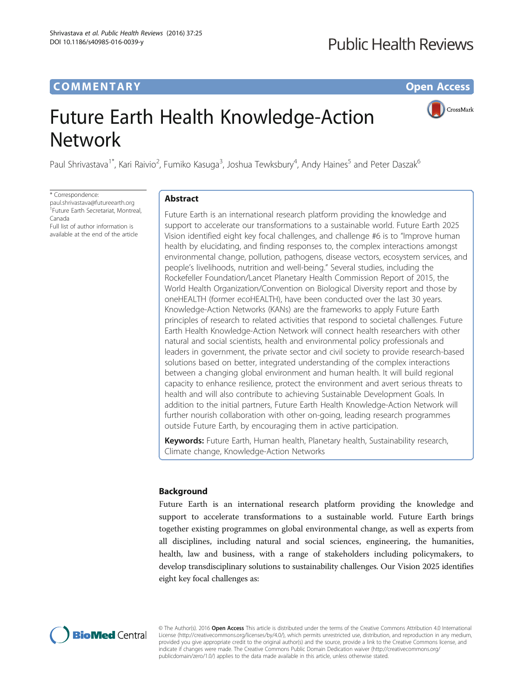# **COMMENTARY COMMENTARY Open Access**

CrossMark

# Future Earth Health Knowledge-Action Network

Paul Shrivastava<sup>1\*</sup>, Kari Raivio<sup>2</sup>, Fumiko Kasuga<sup>3</sup>, Joshua Tewksbury<sup>4</sup>, Andy Haines<sup>5</sup> and Peter Daszak<sup>6</sup>

\* Correspondence: [paul.shrivastava@futureearth.org](mailto:paul.shrivastava@futureearth.org)

<sup>1</sup> Future Earth Secretariat, Montreal, Canada Full list of author information is

available at the end of the article

# Abstract

Future Earth is an international research platform providing the knowledge and support to accelerate our transformations to a sustainable world. Future Earth 2025 Vision identified eight key focal challenges, and challenge #6 is to "Improve human health by elucidating, and finding responses to, the complex interactions amongst environmental change, pollution, pathogens, disease vectors, ecosystem services, and people's livelihoods, nutrition and well-being." Several studies, including the Rockefeller Foundation/Lancet Planetary Health Commission Report of 2015, the World Health Organization/Convention on Biological Diversity report and those by oneHEALTH (former ecoHEALTH), have been conducted over the last 30 years. Knowledge-Action Networks (KANs) are the frameworks to apply Future Earth principles of research to related activities that respond to societal challenges. Future Earth Health Knowledge-Action Network will connect health researchers with other natural and social scientists, health and environmental policy professionals and leaders in government, the private sector and civil society to provide research-based solutions based on better, integrated understanding of the complex interactions between a changing global environment and human health. It will build regional capacity to enhance resilience, protect the environment and avert serious threats to health and will also contribute to achieving Sustainable Development Goals. In addition to the initial partners, Future Earth Health Knowledge-Action Network will further nourish collaboration with other on-going, leading research programmes outside Future Earth, by encouraging them in active participation.

Keywords: Future Earth, Human health, Planetary health, Sustainability research, Climate change, Knowledge-Action Networks

# Background

Future Earth is an international research platform providing the knowledge and support to accelerate transformations to a sustainable world. Future Earth brings together existing programmes on global environmental change, as well as experts from all disciplines, including natural and social sciences, engineering, the humanities, health, law and business, with a range of stakeholders including policymakers, to develop transdisciplinary solutions to sustainability challenges. Our Vision 2025 identifies eight key focal challenges as:



© The Author(s). 2016 Open Access This article is distributed under the terms of the Creative Commons Attribution 4.0 International License ([http://creativecommons.org/licenses/by/4.0/\)](http://creativecommons.org/licenses/by/4.0/), which permits unrestricted use, distribution, and reproduction in any medium, provided you give appropriate credit to the original author(s) and the source, provide a link to the Creative Commons license, and indicate if changes were made. The Creative Commons Public Domain Dedication waiver ([http://creativecommons.org/](http://creativecommons.org/publicdomain/zero/1.0/) [publicdomain/zero/1.0/\)](http://creativecommons.org/publicdomain/zero/1.0/) applies to the data made available in this article, unless otherwise stated.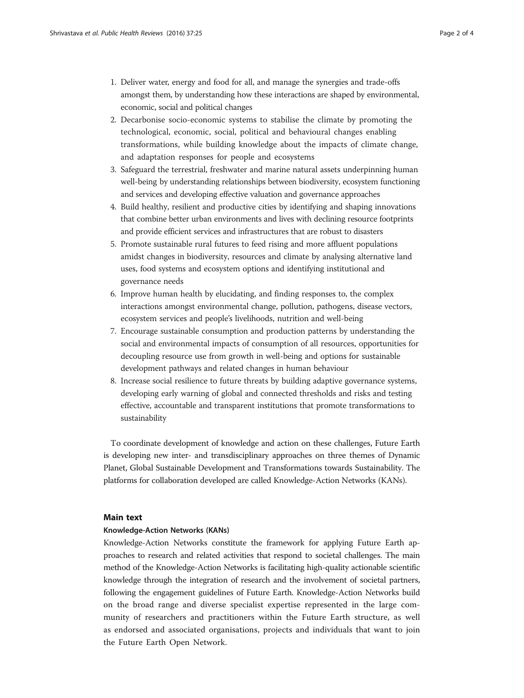- 1. Deliver water, energy and food for all, and manage the synergies and trade-offs amongst them, by understanding how these interactions are shaped by environmental, economic, social and political changes
- 2. Decarbonise socio-economic systems to stabilise the climate by promoting the technological, economic, social, political and behavioural changes enabling transformations, while building knowledge about the impacts of climate change, and adaptation responses for people and ecosystems
- 3. Safeguard the terrestrial, freshwater and marine natural assets underpinning human well-being by understanding relationships between biodiversity, ecosystem functioning and services and developing effective valuation and governance approaches
- 4. Build healthy, resilient and productive cities by identifying and shaping innovations that combine better urban environments and lives with declining resource footprints and provide efficient services and infrastructures that are robust to disasters
- 5. Promote sustainable rural futures to feed rising and more affluent populations amidst changes in biodiversity, resources and climate by analysing alternative land uses, food systems and ecosystem options and identifying institutional and governance needs
- 6. Improve human health by elucidating, and finding responses to, the complex interactions amongst environmental change, pollution, pathogens, disease vectors, ecosystem services and people's livelihoods, nutrition and well-being
- 7. Encourage sustainable consumption and production patterns by understanding the social and environmental impacts of consumption of all resources, opportunities for decoupling resource use from growth in well-being and options for sustainable development pathways and related changes in human behaviour
- 8. Increase social resilience to future threats by building adaptive governance systems, developing early warning of global and connected thresholds and risks and testing effective, accountable and transparent institutions that promote transformations to sustainability

To coordinate development of knowledge and action on these challenges, Future Earth is developing new inter- and transdisciplinary approaches on three themes of Dynamic Planet, Global Sustainable Development and Transformations towards Sustainability. The platforms for collaboration developed are called Knowledge-Action Networks (KANs).

## Main text

## Knowledge-Action Networks (KANs)

Knowledge-Action Networks constitute the framework for applying Future Earth approaches to research and related activities that respond to societal challenges. The main method of the Knowledge-Action Networks is facilitating high-quality actionable scientific knowledge through the integration of research and the involvement of societal partners, following the engagement guidelines of Future Earth. Knowledge-Action Networks build on the broad range and diverse specialist expertise represented in the large community of researchers and practitioners within the Future Earth structure, as well as endorsed and associated organisations, projects and individuals that want to join the Future Earth Open Network.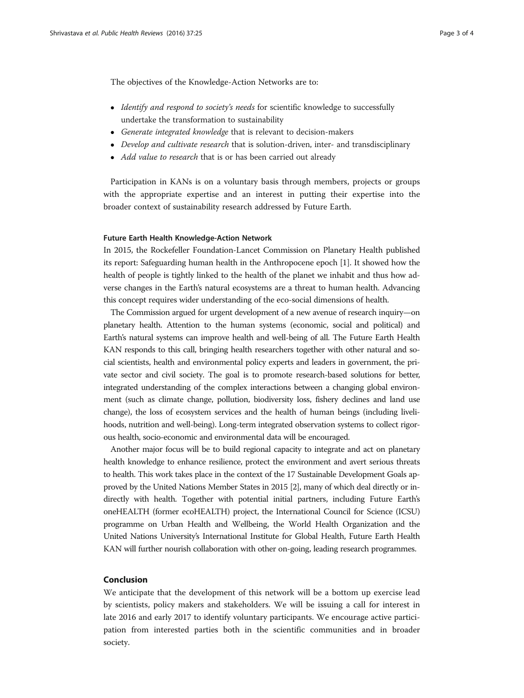The objectives of the Knowledge-Action Networks are to:

- Identify and respond to society's needs for scientific knowledge to successfully undertake the transformation to sustainability
- Generate integrated knowledge that is relevant to decision-makers
- Develop and cultivate research that is solution-driven, inter- and transdisciplinary
- Add value to research that is or has been carried out already

Participation in KANs is on a voluntary basis through members, projects or groups with the appropriate expertise and an interest in putting their expertise into the broader context of sustainability research addressed by Future Earth.

# Future Earth Health Knowledge-Action Network

In 2015, the Rockefeller Foundation-Lancet Commission on Planetary Health published its report: Safeguarding human health in the Anthropocene epoch [[1\]](#page-3-0). It showed how the health of people is tightly linked to the health of the planet we inhabit and thus how adverse changes in the Earth's natural ecosystems are a threat to human health. Advancing this concept requires wider understanding of the eco-social dimensions of health.

The Commission argued for urgent development of a new avenue of research inquiry—on planetary health. Attention to the human systems (economic, social and political) and Earth's natural systems can improve health and well-being of all. The Future Earth Health KAN responds to this call, bringing health researchers together with other natural and social scientists, health and environmental policy experts and leaders in government, the private sector and civil society. The goal is to promote research-based solutions for better, integrated understanding of the complex interactions between a changing global environment (such as climate change, pollution, biodiversity loss, fishery declines and land use change), the loss of ecosystem services and the health of human beings (including livelihoods, nutrition and well-being). Long-term integrated observation systems to collect rigorous health, socio-economic and environmental data will be encouraged.

Another major focus will be to build regional capacity to integrate and act on planetary health knowledge to enhance resilience, protect the environment and avert serious threats to health. This work takes place in the context of the 17 Sustainable Development Goals approved by the United Nations Member States in 2015 [[2](#page-3-0)], many of which deal directly or indirectly with health. Together with potential initial partners, including Future Earth's oneHEALTH (former ecoHEALTH) project, the International Council for Science (ICSU) programme on Urban Health and Wellbeing, the World Health Organization and the United Nations University's International Institute for Global Health, Future Earth Health KAN will further nourish collaboration with other on-going, leading research programmes.

# Conclusion

We anticipate that the development of this network will be a bottom up exercise lead by scientists, policy makers and stakeholders. We will be issuing a call for interest in late 2016 and early 2017 to identify voluntary participants. We encourage active participation from interested parties both in the scientific communities and in broader society.